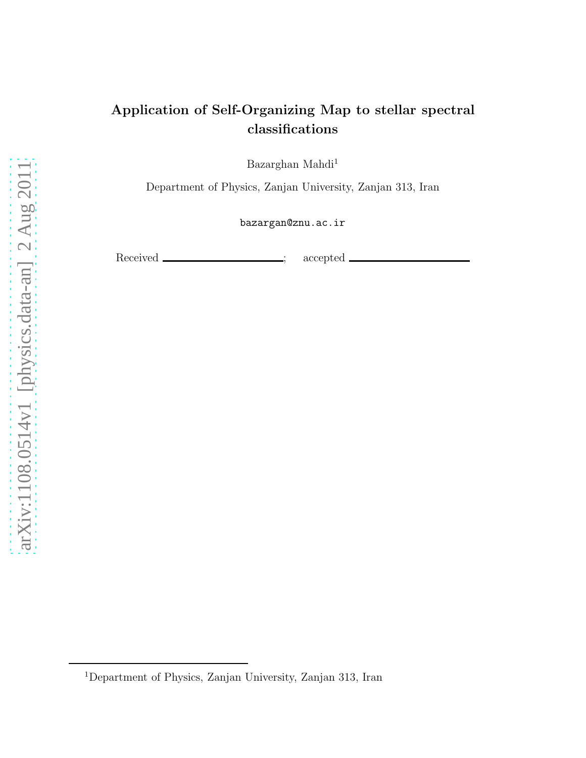# Application of Self-Organizing Map to stellar spectral classifications

Bazarghan Mahdi<sup>1</sup>

Department of Physics, Zanjan University, Zanjan 313, Iran

bazargan@znu.ac.ir

Received \_\_\_\_\_\_\_\_\_\_\_\_\_\_\_\_; accepted .

<sup>1</sup>Department of Physics, Zanjan University, Zanjan 313, Iran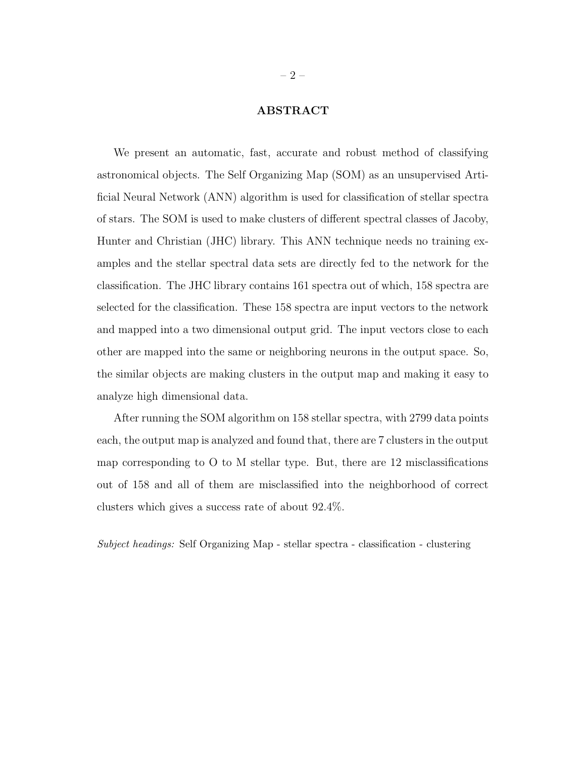### ABSTRACT

We present an automatic, fast, accurate and robust method of classifying astronomical objects. The Self Organizing Map (SOM) as an unsupervised Artificial Neural Network (ANN) algorithm is used for classification of stellar spectra of stars. The SOM is used to make clusters of different spectral classes of Jacoby, Hunter and Christian (JHC) library. This ANN technique needs no training examples and the stellar spectral data sets are directly fed to the network for the classification. The JHC library contains 161 spectra out of which, 158 spectra are selected for the classification. These 158 spectra are input vectors to the network and mapped into a two dimensional output grid. The input vectors close to each other are mapped into the same or neighboring neurons in the output space. So, the similar objects are making clusters in the output map and making it easy to analyze high dimensional data.

After running the SOM algorithm on 158 stellar spectra, with 2799 data points each, the output map is analyzed and found that, there are 7 clusters in the output map corresponding to O to M stellar type. But, there are 12 misclassifications out of 158 and all of them are misclassified into the neighborhood of correct clusters which gives a success rate of about 92.4%.

Subject headings: Self Organizing Map - stellar spectra - classification - clustering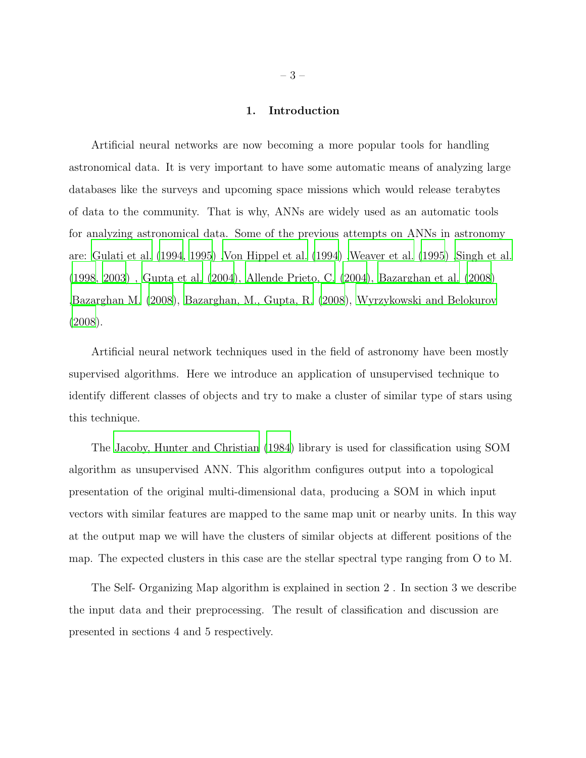#### 1. Introduction

Artificial neural networks are now becoming a more popular tools for handling astronomical data. It is very important to have some automatic means of analyzing large databases like the surveys and upcoming space missions which would release terabytes of data to the community. That is why, ANNs are widely used as an automatic tools for analyzing astronomical data. Some of the previous attempts on ANNs in astronomy are: [Gulati et al. \(1994](#page-14-0), [1995\)](#page-14-1) [,Von Hippel et al. \(1994\)](#page-15-0) [,Weaver et al. \(1995\)](#page-15-1) [,Singh et al.](#page-15-2) [\(1998,](#page-15-2) [2003\)](#page-15-3) , [Gupta et al. \(2004\)](#page-14-2), [Allende Prieto, C. \(2004](#page-14-3)), [Bazarghan et al. \(2008\)](#page-14-4) [,Bazarghan M. \(2008](#page-14-5)), [Bazarghan, M., Gupta, R. \(2008](#page-14-6)), [Wyrzykowski and Belokurov](#page-15-4) [\(2008\)](#page-15-4).

Artificial neural network techniques used in the field of astronomy have been mostly supervised algorithms. Here we introduce an application of unsupervised technique to identify different classes of objects and try to make a cluster of similar type of stars using this technique.

The [Jacoby, Hunter and Christian \(1984](#page-14-7)) library is used for classification using SOM algorithm as unsupervised ANN. This algorithm configures output into a topological presentation of the original multi-dimensional data, producing a SOM in which input vectors with similar features are mapped to the same map unit or nearby units. In this way at the output map we will have the clusters of similar objects at different positions of the map. The expected clusters in this case are the stellar spectral type ranging from O to M.

The Self- Organizing Map algorithm is explained in section 2 . In section 3 we describe the input data and their preprocessing. The result of classification and discussion are presented in sections 4 and 5 respectively.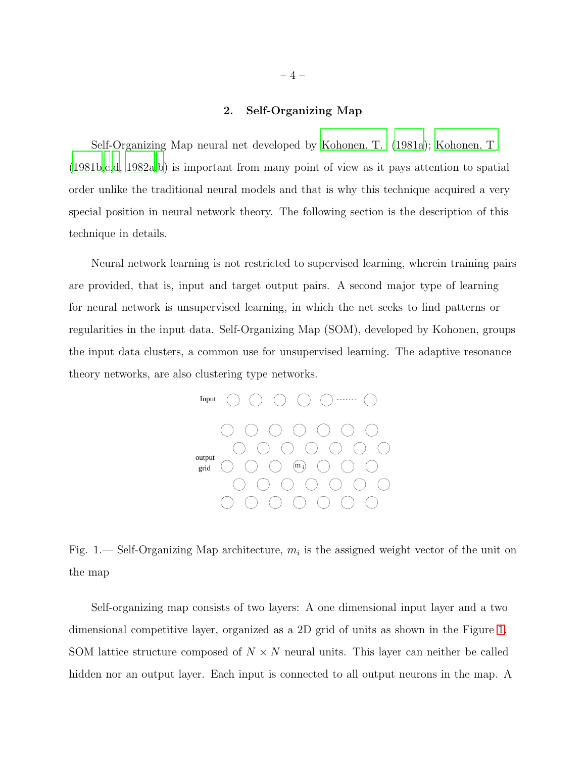#### 2. Self-Organizing Map

Self-Organizing Map neural net developed by [Kohonen, T. \(1981a\)](#page-14-8); [Kohonen, T](#page-14-9) [\(1981b](#page-14-9)[,c](#page-14-10)[,d,](#page-14-11) [1982a](#page-14-12)[,b](#page-14-13)) is important from many point of view as it pays attention to spatial order unlike the traditional neural models and that is why this technique acquired a very special position in neural network theory. The following section is the description of this technique in details.

Neural network learning is not restricted to supervised learning, wherein training pairs are provided, that is, input and target output pairs. A second major type of learning for neural network is unsupervised learning, in which the net seeks to find patterns or regularities in the input data. Self-Organizing Map (SOM), developed by Kohonen, groups the input data clusters, a common use for unsupervised learning. The adaptive resonance theory networks, are also clustering type networks.



<span id="page-3-0"></span>Fig. 1.— Self-Organizing Map architecture,  $m_i$  is the assigned weight vector of the unit on the map

Self-organizing map consists of two layers: A one dimensional input layer and a two dimensional competitive layer, organized as a 2D grid of units as shown in the Figure [1.](#page-3-0) SOM lattice structure composed of  $N \times N$  neural units. This layer can neither be called hidden nor an output layer. Each input is connected to all output neurons in the map. A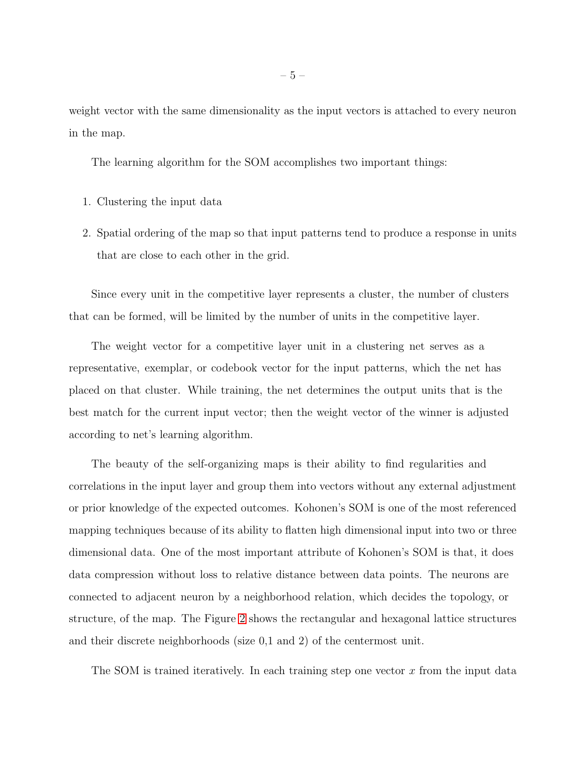weight vector with the same dimensionality as the input vectors is attached to every neuron in the map.

The learning algorithm for the SOM accomplishes two important things:

- 1. Clustering the input data
- 2. Spatial ordering of the map so that input patterns tend to produce a response in units that are close to each other in the grid.

Since every unit in the competitive layer represents a cluster, the number of clusters that can be formed, will be limited by the number of units in the competitive layer.

The weight vector for a competitive layer unit in a clustering net serves as a representative, exemplar, or codebook vector for the input patterns, which the net has placed on that cluster. While training, the net determines the output units that is the best match for the current input vector; then the weight vector of the winner is adjusted according to net's learning algorithm.

The beauty of the self-organizing maps is their ability to find regularities and correlations in the input layer and group them into vectors without any external adjustment or prior knowledge of the expected outcomes. Kohonen's SOM is one of the most referenced mapping techniques because of its ability to flatten high dimensional input into two or three dimensional data. One of the most important attribute of Kohonen's SOM is that, it does data compression without loss to relative distance between data points. The neurons are connected to adjacent neuron by a neighborhood relation, which decides the topology, or structure, of the map. The Figure [2](#page-5-0) shows the rectangular and hexagonal lattice structures and their discrete neighborhoods (size 0,1 and 2) of the centermost unit.

The SOM is trained iteratively. In each training step one vector  $x$  from the input data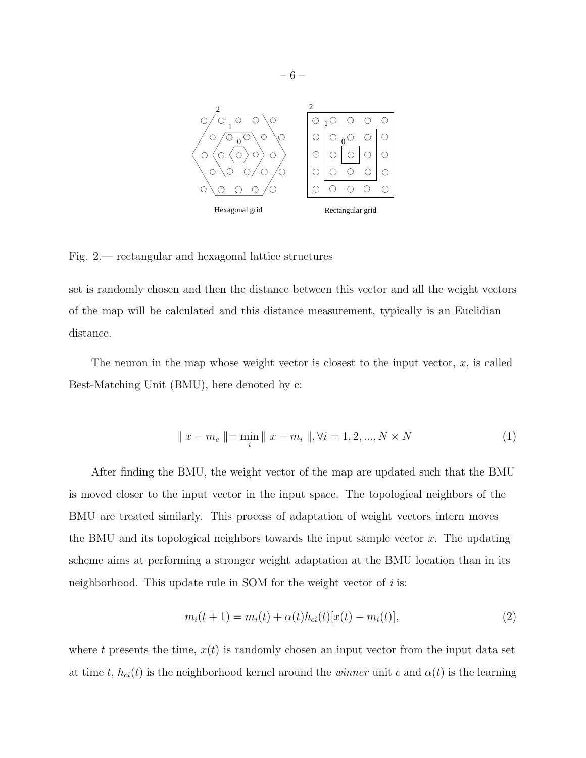

#### <span id="page-5-0"></span>Fig. 2.— rectangular and hexagonal lattice structures

set is randomly chosen and then the distance between this vector and all the weight vectors of the map will be calculated and this distance measurement, typically is an Euclidian distance.

The neuron in the map whose weight vector is closest to the input vector,  $x$ , is called Best-Matching Unit (BMU), here denoted by c:

$$
\| x - m_c \| = \min_i \| x - m_i \|, \forall i = 1, 2, ..., N \times N
$$
 (1)

After finding the BMU, the weight vector of the map are updated such that the BMU is moved closer to the input vector in the input space. The topological neighbors of the BMU are treated similarly. This process of adaptation of weight vectors intern moves the BMU and its topological neighbors towards the input sample vector  $x$ . The updating scheme aims at performing a stronger weight adaptation at the BMU location than in its neighborhood. This update rule in SOM for the weight vector of  $i$  is:

$$
m_i(t+1) = m_i(t) + \alpha(t)h_{ci}(t)[x(t) - m_i(t)],
$$
\n(2)

where t presents the time,  $x(t)$  is randomly chosen an input vector from the input data set at time t,  $h_{ci}(t)$  is the neighborhood kernel around the *winner* unit c and  $\alpha(t)$  is the learning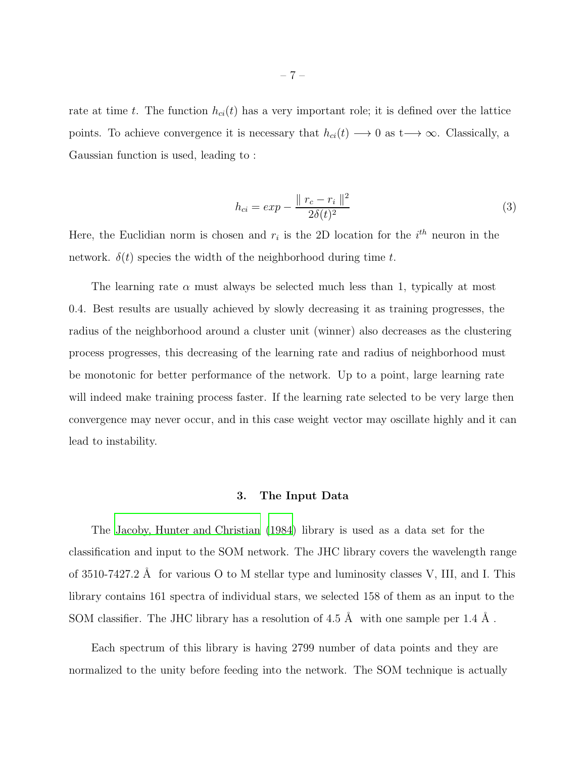rate at time t. The function  $h_{ci}(t)$  has a very important role; it is defined over the lattice points. To achieve convergence it is necessary that  $h_{ci}(t) \longrightarrow 0$  as  $t \longrightarrow \infty$ . Classically, a Gaussian function is used, leading to :

$$
h_{ci} = exp - \frac{\|r_c - r_i\|^2}{2\delta(t)^2}
$$
\n(3)

Here, the Euclidian norm is chosen and  $r_i$  is the 2D location for the  $i^{th}$  neuron in the network.  $\delta(t)$  species the width of the neighborhood during time t.

The learning rate  $\alpha$  must always be selected much less than 1, typically at most 0.4. Best results are usually achieved by slowly decreasing it as training progresses, the radius of the neighborhood around a cluster unit (winner) also decreases as the clustering process progresses, this decreasing of the learning rate and radius of neighborhood must be monotonic for better performance of the network. Up to a point, large learning rate will indeed make training process faster. If the learning rate selected to be very large then convergence may never occur, and in this case weight vector may oscillate highly and it can lead to instability.

#### 3. The Input Data

The [Jacoby, Hunter and Christian \(1984\)](#page-14-7) library is used as a data set for the classification and input to the SOM network. The JHC library covers the wavelength range of 3510-7427.2 Å for various O to M stellar type and luminosity classes V, III, and I. This library contains 161 spectra of individual stars, we selected 158 of them as an input to the SOM classifier. The JHC library has a resolution of 4.5  $\AA$  with one sample per 1.4  $\AA$ .

Each spectrum of this library is having 2799 number of data points and they are normalized to the unity before feeding into the network. The SOM technique is actually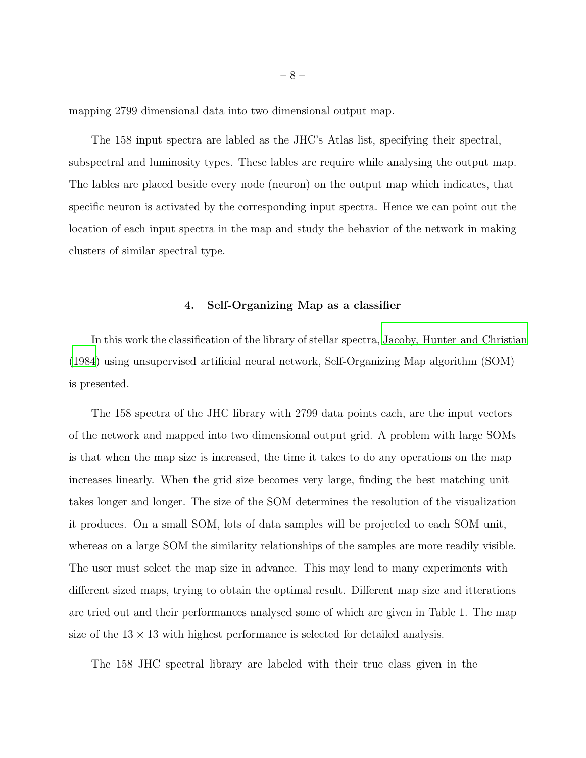mapping 2799 dimensional data into two dimensional output map.

The 158 input spectra are labled as the JHC's Atlas list, specifying their spectral, subspectral and luminosity types. These lables are require while analysing the output map. The lables are placed beside every node (neuron) on the output map which indicates, that specific neuron is activated by the corresponding input spectra. Hence we can point out the location of each input spectra in the map and study the behavior of the network in making clusters of similar spectral type.

#### 4. Self-Organizing Map as a classifier

In this work the classification of the library of stellar spectra, [Jacoby, Hunter and Christian](#page-14-7) [\(1984\)](#page-14-7) using unsupervised artificial neural network, Self-Organizing Map algorithm (SOM) is presented.

The 158 spectra of the JHC library with 2799 data points each, are the input vectors of the network and mapped into two dimensional output grid. A problem with large SOMs is that when the map size is increased, the time it takes to do any operations on the map increases linearly. When the grid size becomes very large, finding the best matching unit takes longer and longer. The size of the SOM determines the resolution of the visualization it produces. On a small SOM, lots of data samples will be projected to each SOM unit, whereas on a large SOM the similarity relationships of the samples are more readily visible. The user must select the map size in advance. This may lead to many experiments with different sized maps, trying to obtain the optimal result. Different map size and itterations are tried out and their performances analysed some of which are given in Table 1. The map size of the  $13 \times 13$  with highest performance is selected for detailed analysis.

The 158 JHC spectral library are labeled with their true class given in the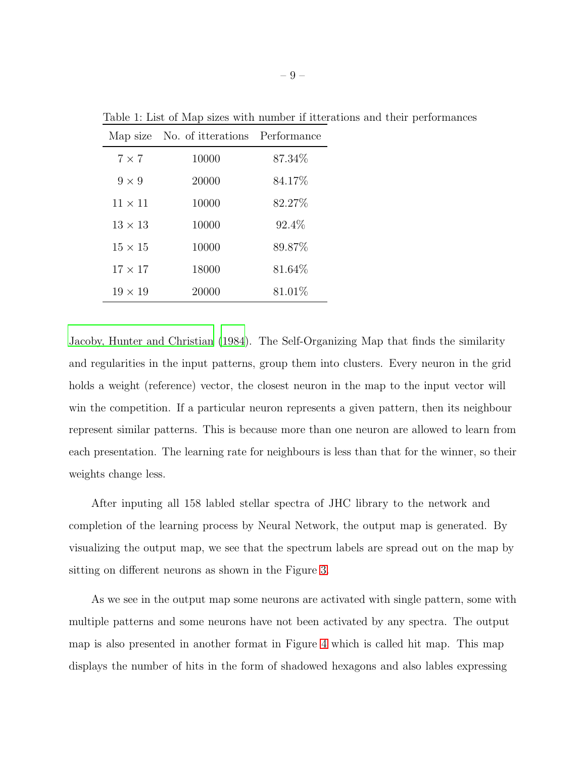|                | Map size No. of itterations Performance |         |
|----------------|-----------------------------------------|---------|
| $7 \times 7$   | 10000                                   | 87.34\% |
| $9 \times 9$   | 20000                                   | 84.17%  |
| $11 \times 11$ | 10000                                   | 82.27%  |
| $13 \times 13$ | 10000                                   | 92.4\%  |
| $15 \times 15$ | 10000                                   | 89.87%  |
| $17 \times 17$ | 18000                                   | 81.64%  |
| $19 \times 19$ | 20000                                   | 81.01\% |

Table 1: List of Map sizes with number if itterations and their performances

[Jacoby, Hunter and Christian \(1984\)](#page-14-7). The Self-Organizing Map that finds the similarity and regularities in the input patterns, group them into clusters. Every neuron in the grid holds a weight (reference) vector, the closest neuron in the map to the input vector will win the competition. If a particular neuron represents a given pattern, then its neighbour represent similar patterns. This is because more than one neuron are allowed to learn from each presentation. The learning rate for neighbours is less than that for the winner, so their weights change less.

After inputing all 158 labled stellar spectra of JHC library to the network and completion of the learning process by Neural Network, the output map is generated. By visualizing the output map, we see that the spectrum labels are spread out on the map by sitting on different neurons as shown in the Figure [3.](#page-9-0)

As we see in the output map some neurons are activated with single pattern, some with multiple patterns and some neurons have not been activated by any spectra. The output map is also presented in another format in Figure [4](#page-10-0) which is called hit map. This map displays the number of hits in the form of shadowed hexagons and also lables expressing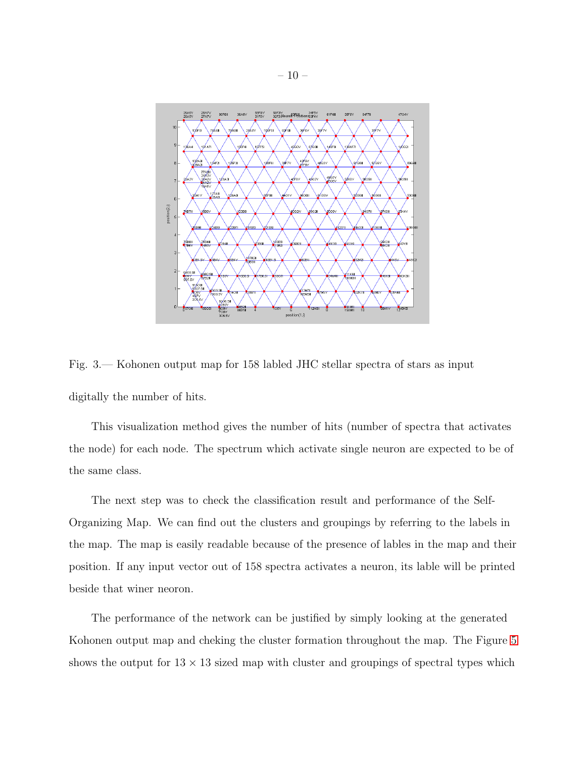

<span id="page-9-0"></span>Fig. 3.— Kohonen output map for 158 labled JHC stellar spectra of stars as input digitally the number of hits.

This visualization method gives the number of hits (number of spectra that activates the node) for each node. The spectrum which activate single neuron are expected to be of the same class.

The next step was to check the classification result and performance of the Self-Organizing Map. We can find out the clusters and groupings by referring to the labels in the map. The map is easily readable because of the presence of lables in the map and their position. If any input vector out of 158 spectra activates a neuron, its lable will be printed beside that winer neoron.

The performance of the network can be justified by simply looking at the generated Kohonen output map and cheking the cluster formation throughout the map. The Figure [5](#page-11-0) shows the output for  $13 \times 13$  sized map with cluster and groupings of spectral types which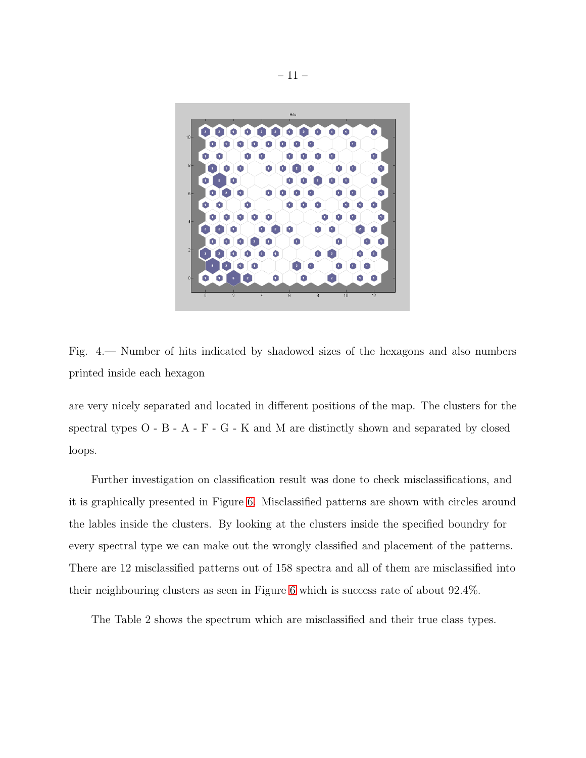

Fig. 4.— Number of hits indicated by shadowed sizes of the hexagons and also numbers printed inside each hexagon

<span id="page-10-0"></span>are very nicely separated and located in different positions of the map. The clusters for the spectral types O - B - A - F - G - K and M are distinctly shown and separated by closed loops.

Further investigation on classification result was done to check misclassifications, and it is graphically presented in Figure [6.](#page-12-0) Misclassified patterns are shown with circles around the lables inside the clusters. By looking at the clusters inside the specified boundry for every spectral type we can make out the wrongly classified and placement of the patterns. There are 12 misclassified patterns out of 158 spectra and all of them are misclassified into their neighbouring clusters as seen in Figure [6](#page-12-0) which is success rate of about 92.4%.

The Table 2 shows the spectrum which are misclassified and their true class types.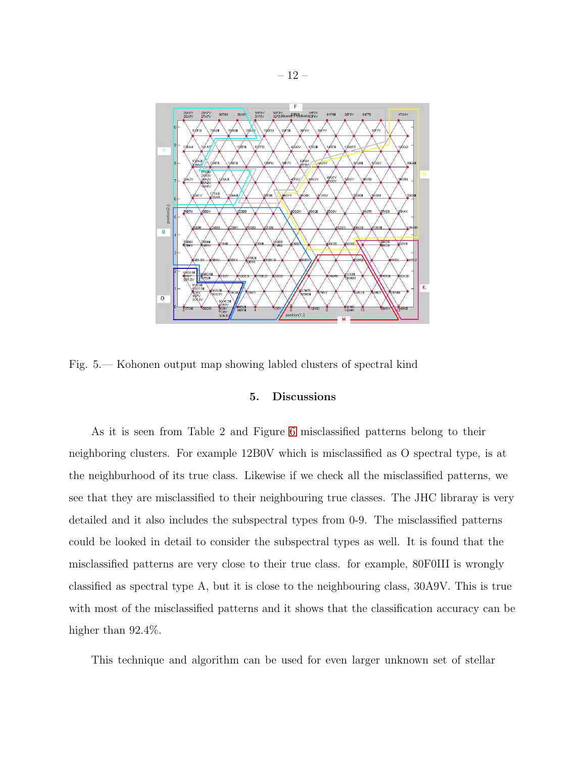

<span id="page-11-0"></span>Fig. 5.— Kohonen output map showing labled clusters of spectral kind

### 5. Discussions

As it is seen from Table 2 and Figure [6](#page-12-0) misclassified patterns belong to their neighboring clusters. For example 12B0V which is misclassified as O spectral type, is at the neighburhood of its true class. Likewise if we check all the misclassified patterns, we see that they are misclassified to their neighbouring true classes. The JHC libraray is very detailed and it also includes the subspectral types from 0-9. The misclassified patterns could be looked in detail to consider the subspectral types as well. It is found that the misclassified patterns are very close to their true class. for example, 80F0III is wrongly classified as spectral type A, but it is close to the neighbouring class, 30A9V. This is true with most of the misclassified patterns and it shows that the classification accuracy can be higher than  $92.4\%$ .

This technique and algorithm can be used for even larger unknown set of stellar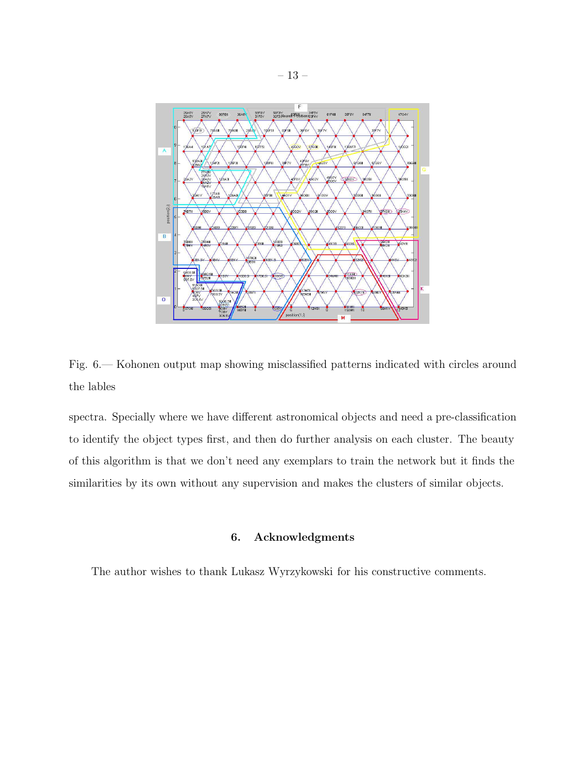

<span id="page-12-0"></span>Fig. 6.— Kohonen output map showing misclassified patterns indicated with circles around the lables

spectra. Specially where we have different astronomical objects and need a pre-classification to identify the object types first, and then do further analysis on each cluster. The beauty of this algorithm is that we don't need any exemplars to train the network but it finds the similarities by its own without any supervision and makes the clusters of similar objects.

## 6. Acknowledgments

The author wishes to thank Lukasz Wyrzykowski for his constructive comments.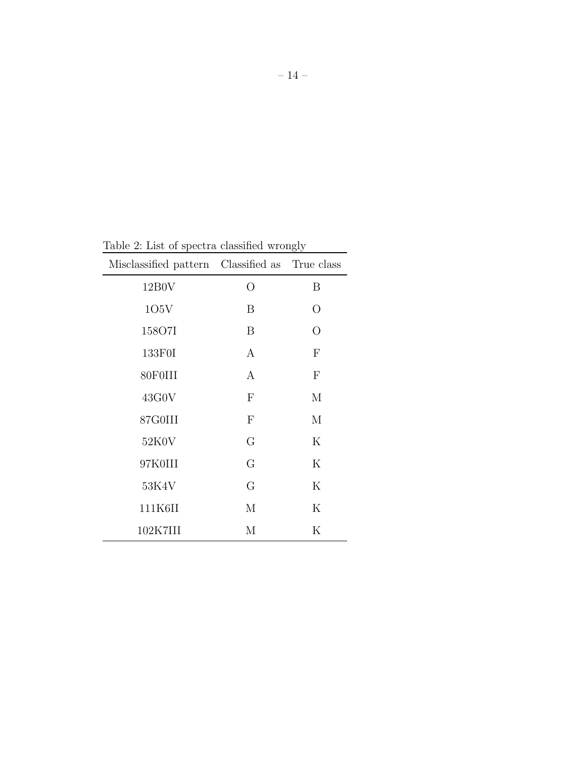| Misclassified pattern Classified as True class |              |                  |
|------------------------------------------------|--------------|------------------|
| 12B0V                                          | O            | B                |
| 105V                                           | B            | O                |
| 158O7I                                         | B            | O                |
| 133F0I                                         | A            | $\boldsymbol{F}$ |
| 80F0III                                        | $\mathbf{A}$ | $\boldsymbol{F}$ |
| 43G0V                                          | $\mathbf{F}$ | M                |
| 87G0III                                        | $\mathbf{F}$ | М                |
| 52K0V                                          | G            | $\rm K$          |
| 97K0III                                        | G            | $\rm K$          |
| 53K4V                                          | G            | K                |
| 111K6II                                        | М            | $\rm K$          |
| 102K7III                                       | М            | Κ                |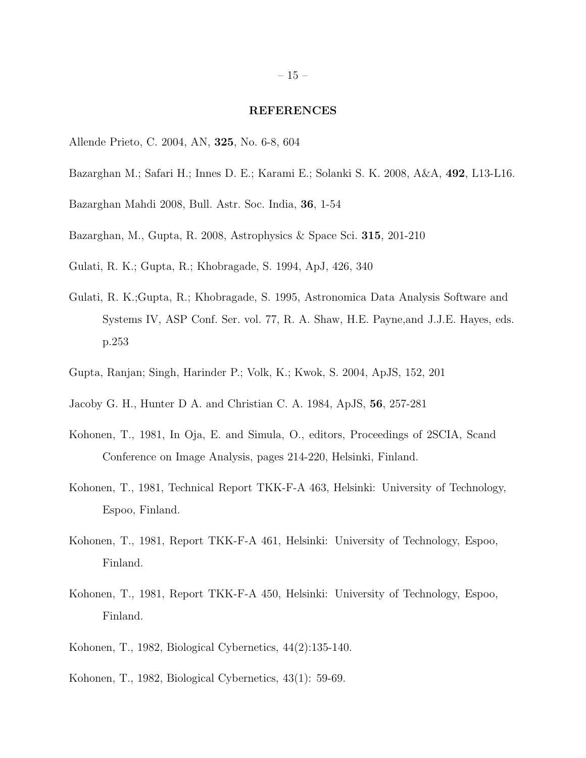#### REFERENCES

- <span id="page-14-3"></span>Allende Prieto, C. 2004, AN, 325, No. 6-8, 604
- <span id="page-14-4"></span>Bazarghan M.; Safari H.; Innes D. E.; Karami E.; Solanki S. K. 2008, A&A, 492, L13-L16.
- <span id="page-14-5"></span>Bazarghan Mahdi 2008, Bull. Astr. Soc. India, 36, 1-54
- <span id="page-14-6"></span>Bazarghan, M., Gupta, R. 2008, Astrophysics & Space Sci. 315, 201-210
- <span id="page-14-0"></span>Gulati, R. K.; Gupta, R.; Khobragade, S. 1994, ApJ, 426, 340
- <span id="page-14-1"></span>Gulati, R. K.;Gupta, R.; Khobragade, S. 1995, Astronomica Data Analysis Software and Systems IV, ASP Conf. Ser. vol. 77, R. A. Shaw, H.E. Payne,and J.J.E. Hayes, eds. p.253
- <span id="page-14-2"></span>Gupta, Ranjan; Singh, Harinder P.; Volk, K.; Kwok, S. 2004, ApJS, 152, 201
- <span id="page-14-7"></span>Jacoby G. H., Hunter D A. and Christian C. A. 1984, ApJS, 56, 257-281
- <span id="page-14-8"></span>Kohonen, T., 1981, In Oja, E. and Simula, O., editors, Proceedings of 2SCIA, Scand Conference on Image Analysis, pages 214-220, Helsinki, Finland.
- <span id="page-14-9"></span>Kohonen, T., 1981, Technical Report TKK-F-A 463, Helsinki: University of Technology, Espoo, Finland.
- <span id="page-14-10"></span>Kohonen, T., 1981, Report TKK-F-A 461, Helsinki: University of Technology, Espoo, Finland.
- <span id="page-14-11"></span>Kohonen, T., 1981, Report TKK-F-A 450, Helsinki: University of Technology, Espoo, Finland.
- <span id="page-14-12"></span>Kohonen, T., 1982, Biological Cybernetics, 44(2):135-140.
- <span id="page-14-13"></span>Kohonen, T., 1982, Biological Cybernetics, 43(1): 59-69.